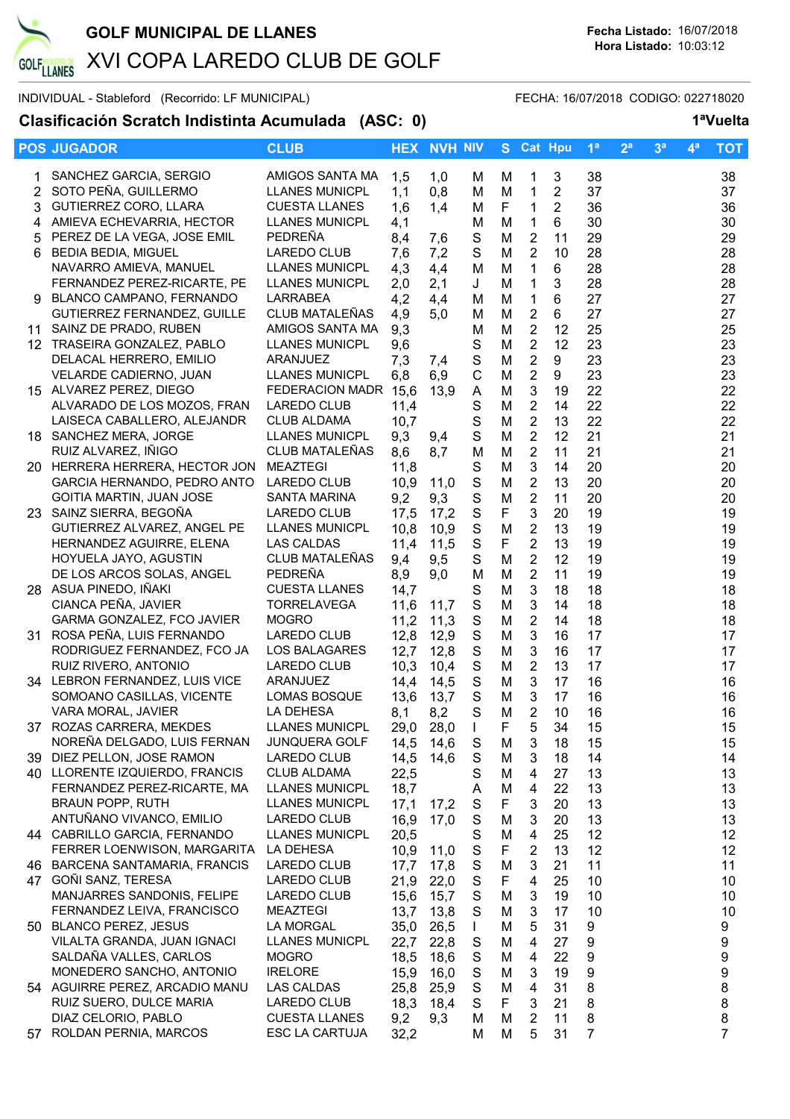

## **Clasificación Scratch Indistinta Acumulada (ASC: 0) 1ªVuelta**

|                | <b>POS JUGADOR</b>                                     | <b>CLUB</b>                             |              | <b>HEX NVH NIV</b> |                              | S.     | <b>Cat Hpu</b>          |                | 1 <sup>a</sup>   | 2 <sup>a</sup> | 3 <sup>a</sup> | $\mathbf{4}^{\mathbf{a}}$ | <b>TOT</b>       |
|----------------|--------------------------------------------------------|-----------------------------------------|--------------|--------------------|------------------------------|--------|-------------------------|----------------|------------------|----------------|----------------|---------------------------|------------------|
|                |                                                        |                                         |              |                    |                              |        |                         |                |                  |                |                |                           |                  |
|                | SANCHEZ GARCIA, SERGIO                                 | AMIGOS SANTA MA                         | 1,5          | 1,0                | M                            | M      | 1                       | $\sqrt{3}$     | 38               |                |                |                           | 38               |
| $\overline{2}$ | SOTO PEÑA, GUILLERMO                                   | <b>LLANES MUNICPL</b>                   | 1,1          | 0,8                | м                            | M      | 1                       | 2              | 37               |                |                |                           | 37               |
| 3              | GUTIERREZ CORO, LLARA                                  | <b>CUESTA LLANES</b>                    | 1,6          | 1,4                | М                            | F      | $\mathbf{1}$            | $\overline{2}$ | 36               |                |                |                           | 36               |
| 4              | AMIEVA ECHEVARRIA, HECTOR                              | <b>LLANES MUNICPL</b>                   | 4,1          |                    | M                            | M      | 1                       | 6              | 30               |                |                |                           | 30               |
| 5              | PEREZ DE LA VEGA, JOSE EMIL                            | PEDREÑA                                 | 8,4          | 7,6                | S                            | M      | $\overline{2}$          | 11             | 29               |                |                |                           | 29               |
| 6              | <b>BEDIA BEDIA, MIGUEL</b>                             | <b>LAREDO CLUB</b>                      | 7,6          | 7,2                | $\mathbf S$                  | M      | 2                       | 10             | 28               |                |                |                           | 28               |
|                | NAVARRO AMIEVA, MANUEL                                 | <b>LLANES MUNICPL</b>                   | 4,3          | 4,4                | M                            | M      | 1                       | 6              | 28               |                |                |                           | 28               |
|                | FERNANDEZ PEREZ-RICARTE, PE                            | <b>LLANES MUNICPL</b>                   | 2,0          | 2,1                | J                            | M      | 1                       | 3              | 28               |                |                |                           | 28               |
|                | 9 BLANCO CAMPANO, FERNANDO                             | <b>LARRABEA</b>                         | 4,2          | 4,4                | М                            | M      | $\mathbf{1}$            | 6              | 27               |                |                |                           | 27               |
|                | GUTIERREZ FERNANDEZ, GUILLE                            | CLUB MATALEÑAS                          | 4,9          | 5,0                | М                            | M      | $\overline{2}$          | 6              | 27               |                |                |                           | 27               |
|                | 11 SAINZ DE PRADO, RUBEN                               | AMIGOS SANTA MA                         | 9,3          |                    | М                            | M      | $\overline{2}$          | 12             | 25               |                |                |                           | 25               |
|                | 12 TRASEIRA GONZALEZ, PABLO                            | <b>LLANES MUNICPL</b>                   | 9,6          |                    | S                            | M      | $\overline{2}$          | 12             | 23               |                |                |                           | 23               |
|                | DELACAL HERRERO, EMILIO                                | ARANJUEZ                                | 7,3          | 7,4                | ${\mathsf S}$                | M      | 2                       | 9              | 23               |                |                |                           | 23               |
|                | VELARDE CADIERNO, JUAN                                 | <b>LLANES MUNICPL</b>                   | 6,8          | 6,9                | $\mathsf{C}$                 | M      | 2                       | 9              | 23               |                |                |                           | 23               |
|                | 15 ALVAREZ PEREZ, DIEGO                                | FEDERACION MADR 15,6                    |              | 13,9               | A                            | M      | 3                       | 19             | 22               |                |                |                           | 22               |
|                | ALVARADO DE LOS MOZOS, FRAN                            | LAREDO CLUB                             | 11,4         |                    | $\mathbf S$                  | M      | $\boldsymbol{2}$        | 14             | 22               |                |                |                           | 22               |
|                | LAISECA CABALLERO, ALEJANDR                            | <b>CLUB ALDAMA</b>                      | 10,7         |                    | $\mathbf S$                  | M      | $\overline{2}$          | 13             | 22               |                |                |                           | 22               |
|                | 18 SANCHEZ MERA, JORGE                                 | <b>LLANES MUNICPL</b><br>CLUB MATALEÑAS | 9,3          | 9,4                | $\mathbf S$                  | M      | $\mathbf 2$             | 12             | 21               |                |                |                           | 21               |
|                | RUIZ ALVAREZ, IÑIGO<br>20 HERRERA HERRERA, HECTOR JON  | <b>MEAZTEGI</b>                         | 8,6          | 8,7                | M                            | M      | $\overline{2}$          | 11<br>14       | 21               |                |                |                           | 21               |
|                | GARCIA HERNANDO, PEDRO ANTO                            | LAREDO CLUB                             | 11,8<br>10,9 | 11,0               | ${\mathsf S}$<br>$\mathbf S$ | M<br>M | 3<br>$\overline{2}$     | 13             | 20<br>20         |                |                |                           | 20<br>20         |
|                | GOITIA MARTIN, JUAN JOSE                               | <b>SANTA MARINA</b>                     | 9,2          | 9,3                | ${\mathsf S}$                | M      | $\sqrt{2}$              | 11             | 20               |                |                |                           | 20               |
|                | 23 SAINZ SIERRA, BEGOÑA                                | LAREDO CLUB                             | 17,5         | 17,2               | $\mathbf S$                  | F      | 3                       | 20             | 19               |                |                |                           | 19               |
|                | GUTIERREZ ALVAREZ, ANGEL PE                            | <b>LLANES MUNICPL</b>                   | 10,8         | 10,9               | $\mathbf S$                  | M      | $\overline{2}$          | 13             | 19               |                |                |                           | 19               |
|                | HERNANDEZ AGUIRRE, ELENA                               | <b>LAS CALDAS</b>                       | 11,4         | 11,5               | $\mathbf S$                  | F      | $\overline{2}$          | 13             | 19               |                |                |                           | 19               |
|                | HOYUELA JAYO, AGUSTIN                                  | CLUB MATALEÑAS                          | 9,4          | 9,5                | $\mathbf S$                  | M      | 2                       | 12             | 19               |                |                |                           | 19               |
|                | DE LOS ARCOS SOLAS, ANGEL                              | PEDREÑA                                 | 8,9          | 9,0                | M                            | M      | $\overline{2}$          | 11             | 19               |                |                |                           | 19               |
|                | 28 ASUA PINEDO, IÑAKI                                  | <b>CUESTA LLANES</b>                    | 14,7         |                    | S                            | M      | $\mathbf{3}$            | 18             | 18               |                |                |                           | 18               |
|                | CIANCA PEÑA, JAVIER                                    | <b>TORRELAVEGA</b>                      | 11,6         | 11,7               | ${\mathsf S}$                | M      | $\mathbf{3}$            | 14             | 18               |                |                |                           | 18               |
|                | GARMA GONZALEZ, FCO JAVIER                             | <b>MOGRO</b>                            | 11,2         | 11,3               | ${\mathsf S}$                | M      | $\overline{2}$          | 14             | 18               |                |                |                           | 18               |
|                | 31 ROSA PEÑA, LUIS FERNANDO                            | LAREDO CLUB                             | 12,8         | 12,9               | $\mathbf S$                  | M      | 3                       | 16             | 17               |                |                |                           | 17               |
|                | RODRIGUEZ FERNANDEZ, FCO JA                            | LOS BALAGARES                           | 12,7         | 12,8               | ${\mathsf S}$                | M      | $\mathbf{3}$            | 16             | 17               |                |                |                           | 17               |
|                | RUIZ RIVERO, ANTONIO                                   | LAREDO CLUB                             | 10,3         | 10,4               | $\mathbf S$                  | M      | $\overline{2}$          | 13             | 17               |                |                |                           | 17               |
|                | 34 LEBRON FERNANDEZ, LUIS VICE                         | ARANJUEZ                                | 14,4         | 14,5               | S                            | M      | 3                       | 17             | 16               |                |                |                           | 16               |
|                | SOMOANO CASILLAS, VICENTE                              | <b>LOMAS BOSQUE</b>                     | 13,6         | 13,7               | $\mathbf S$                  | M      | 3                       | 17             | 16               |                |                |                           | 16               |
|                | VARA MORAL, JAVIER                                     | LA DEHESA                               | 8,1          | 8,2                | S                            | M      | 2                       | 10             | 16               |                |                |                           | 16               |
|                | 37 ROZAS CARRERA, MEKDES                               | <b>LLANES MUNICPL</b>                   | 29,0         | 28,0               | $\perp$                      | ۲      | 5                       | 34             | 15               |                |                |                           | 15               |
|                | NOREÑA DELGADO, LUIS FERNAN                            | <b>JUNQUERA GOLF</b>                    | 14,5         | 14,6               | S                            | M      | 3                       | 18             | 15               |                |                |                           | 15               |
|                | 39 DIEZ PELLON, JOSE RAMON                             | LAREDO CLUB                             | 14,5         | 14,6               | $\mathbf S$                  | M      | 3                       | 18             | 14               |                |                |                           | 14               |
|                | 40 LLORENTE IZQUIERDO, FRANCIS                         | <b>CLUB ALDAMA</b>                      | 22,5         |                    | S                            | M      | 4                       | 27             | 13               |                |                |                           | 13               |
|                | FERNANDEZ PEREZ-RICARTE, MA                            | <b>LLANES MUNICPL</b>                   | 18,7         |                    | A                            | M      | $\overline{4}$          | 22             | 13               |                |                |                           | 13               |
|                | <b>BRAUN POPP, RUTH</b>                                | <b>LLANES MUNICPL</b>                   | 17,1         | 17,2               | S                            | F      | 3                       | 20             | 13               |                |                |                           | 13               |
|                | ANTUÑANO VIVANCO, EMILIO                               | LAREDO CLUB                             | 16,9         | 17,0               | ${\mathsf S}$                | M      | 3                       | 20             | 13               |                |                |                           | 13               |
|                | 44 CABRILLO GARCIA, FERNANDO                           | <b>LLANES MUNICPL</b>                   | 20,5         |                    | ${\mathsf S}$                | M      | $\overline{\mathbf{4}}$ | 25             | 12               |                |                |                           | 12               |
|                | FERRER LOENWISON, MARGARITA                            | LA DEHESA                               | 10,9         | 11,0               | $\mathbf S$                  | F      | $\overline{2}$          | 13             | 12               |                |                |                           | 12               |
|                | 46 BARCENA SANTAMARIA, FRANCIS<br>47 GOÑI SANZ, TERESA | LAREDO CLUB<br>LAREDO CLUB              | 17,7         | 17,8               | S<br>S                       | M<br>F | 3<br>4                  | 21<br>25       | 11<br>10         |                |                |                           | 11               |
|                | MANJARRES SANDONIS, FELIPE                             | LAREDO CLUB                             | 21,9<br>15,6 | 22,0<br>15,7       | S                            | M      | 3                       | 19             | 10               |                |                |                           | 10<br>10         |
|                | FERNANDEZ LEIVA, FRANCISCO                             | <b>MEAZTEGI</b>                         | 13,7         | 13,8               | S                            | M      | 3                       | 17             | 10               |                |                |                           | 10               |
|                | 50 BLANCO PEREZ, JESUS                                 | LA MORGAL                               | 35,0         | 26,5               | $\mathbf{L}$                 | M      | 5                       | 31             | 9                |                |                |                           | 9                |
|                | VILALTA GRANDA, JUAN IGNACI                            | <b>LLANES MUNICPL</b>                   | 22,7         | 22,8               | S                            | M      | 4                       | 27             | 9                |                |                |                           | 9                |
|                | SALDAÑA VALLES, CARLOS                                 | <b>MOGRO</b>                            | 18,5         | 18,6               | S                            | M      | 4                       | 22             | 9                |                |                |                           | 9                |
|                | MONEDERO SANCHO, ANTONIO                               | <b>IRELORE</b>                          | 15,9         | 16,0               | S                            | M      | 3                       | 19             | $\boldsymbol{9}$ |                |                |                           | $\boldsymbol{9}$ |
|                | 54 AGUIRRE PEREZ, ARCADIO MANU                         | LAS CALDAS                              | 25,8         | 25,9               | $\mathbf S$                  | M      | $\overline{4}$          | 31             | $\bf 8$          |                |                |                           | 8                |
|                | RUIZ SUERO, DULCE MARIA                                | LAREDO CLUB                             | 18,3         | 18,4               | S                            | F      | 3                       | 21             | 8                |                |                |                           | 8                |
|                | DIAZ CELORIO, PABLO                                    | <b>CUESTA LLANES</b>                    | 9,2          | 9,3                | M                            | M      | 2                       | 11             | 8                |                |                |                           | 8                |
|                | 57 ROLDAN PERNIA, MARCOS                               | ESC LA CARTUJA                          | 32,2         |                    | М                            | M      | 5                       | 31             | $\overline{7}$   |                |                |                           | $\overline{7}$   |